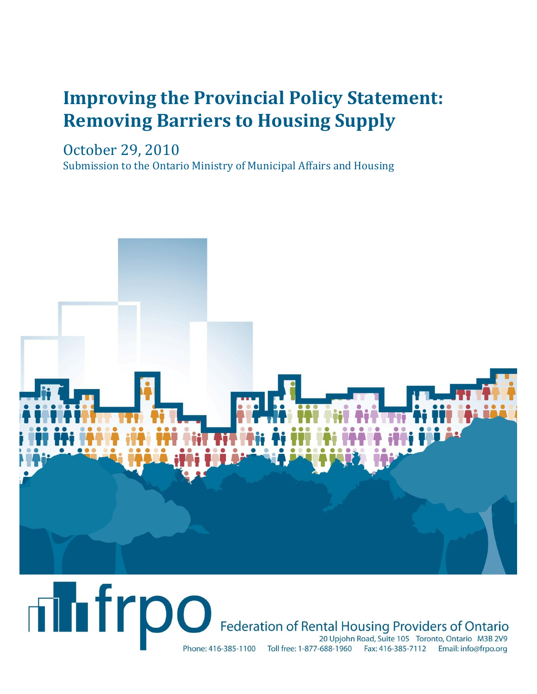# **Improving the Provincial Policy Statement: Removing Barriers to Housing Supply**

October 29, 2010

Submission to the Ontario Ministry of Municipal Affairs and Housing



## **Thirpo** Federation of Rental Housing Providers of Ontario 20 Upjohn Road, Suite 105 Toronto, Ontario M3B 2V9 Phone: 416-385-1100 Toll free: 1-877-688-1960 Fax: 416-385-7112 Email: info@frpo.org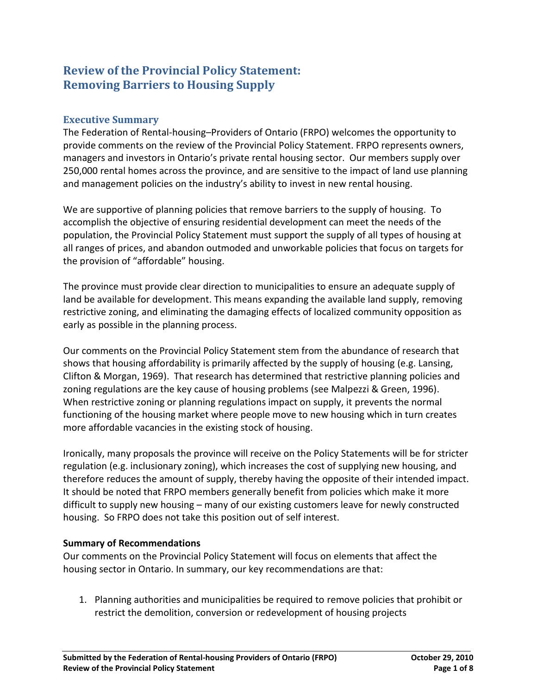### **Review of the Provincial Policy Statement: Removing Barriers to Housing Supply**

#### **Executive Summary**

The Federation of Rental-housing–Providers of Ontario (FRPO) welcomes the opportunity to provide comments on the review of the Provincial Policy Statement. FRPO represents owners, managers and investors in Ontario's private rental housing sector. Our members supply over 250,000 rental homes across the province, and are sensitive to the impact of land use planning and management policies on the industry's ability to invest in new rental housing.

We are supportive of planning policies that remove barriers to the supply of housing. To accomplish the objective of ensuring residential development can meet the needs of the population, the Provincial Policy Statement must support the supply of all types of housing at all ranges of prices, and abandon outmoded and unworkable policies that focus on targets for the provision of "affordable" housing.

The province must provide clear direction to municipalities to ensure an adequate supply of land be available for development. This means expanding the available land supply, removing restrictive zoning, and eliminating the damaging effects of localized community opposition as early as possible in the planning process.

Our comments on the Provincial Policy Statement stem from the abundance of research that shows that housing affordability is primarily affected by the supply of housing (e.g. Lansing, Clifton & Morgan, 1969). That research has determined that restrictive planning policies and zoning regulations are the key cause of housing problems (see Malpezzi & Green, 1996). When restrictive zoning or planning regulations impact on supply, it prevents the normal functioning of the housing market where people move to new housing which in turn creates more affordable vacancies in the existing stock of housing.

Ironically, many proposals the province will receive on the Policy Statements will be for stricter regulation (e.g. inclusionary zoning), which increases the cost of supplying new housing, and therefore reduces the amount of supply, thereby having the opposite of their intended impact. It should be noted that FRPO members generally benefit from policies which make it more difficult to supply new housing – many of our existing customers leave for newly constructed housing. So FRPO does not take this position out of self interest.

#### **Summary of Recommendations**

Our comments on the Provincial Policy Statement will focus on elements that affect the housing sector in Ontario. In summary, our key recommendations are that:

1. Planning authorities and municipalities be required to remove policies that prohibit or restrict the demolition, conversion or redevelopment of housing projects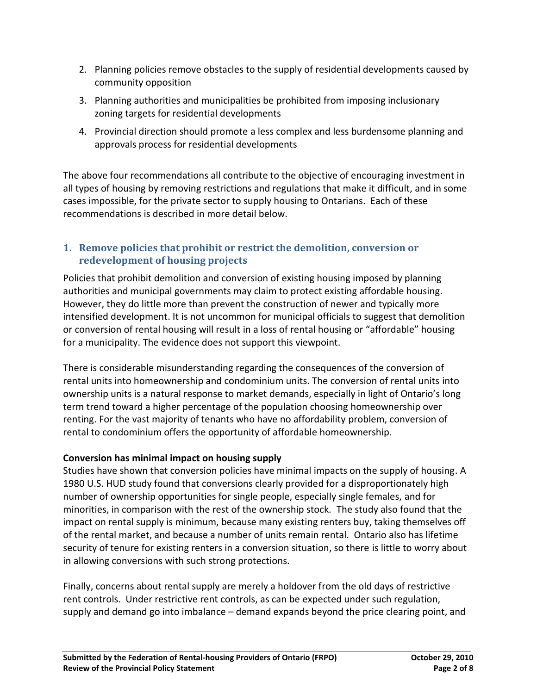- 2. Planning policies remove obstacles to the supply of residential developments caused by community opposition
- 3. Planning authorities and municipalities be prohibited from imposing inclusionary zoning targets for residential developments
- 4. Provincial direction should promote a less complex and less burdensome planning and approvals process for residential developments

The above four recommendations all contribute to the objective of encouraging investment in all types of housing by removing restrictions and regulations that make it difficult, and in some cases impossible, for the private sector to supply housing to Ontarians. Each of these recommendations is described in more detail below.

#### **1. Remove policies that prohibit or restrict the demolition, conversion or redevelopment of housing projects**

Policies that prohibit demolition and conversion of existing housing imposed by planning authorities and municipal governments may claim to protect existing affordable housing. However, they do little more than prevent the construction of newer and typically more intensified development. It is not uncommon for municipal officials to suggest that demolition or conversion of rental housing will result in a loss of rental housing or "affordable" housing for a municipality. The evidence does not support this viewpoint.

There is considerable misunderstanding regarding the consequences of the conversion of rental units into homeownership and condominium units. The conversion of rental units into ownership units is a natural response to market demands, especially in light of Ontario's long term trend toward a higher percentage of the population choosing homeownership over renting. For the vast majority of tenants who have no affordability problem, conversion of rental to condominium offers the opportunity of affordable homeownership.

#### **Conversion has minimal impact on housing supply**

Studies have shown that conversion policies have minimal impacts on the supply of housing. A 1980 U.S. HUD study found that conversions clearly provided for a disproportionately high number of ownership opportunities for single people, especially single females, and for minorities, in comparison with the rest of the ownership stock. The study also found that the impact on rental supply is minimum, because many existing renters buy, taking themselves off of the rental market, and because a number of units remain rental. Ontario also has lifetime security of tenure for existing renters in a conversion situation, so there is little to worry about in allowing conversions with such strong protections.

Finally, concerns about rental supply are merely a holdover from the old days of restrictive rent controls. Under restrictive rent controls, as can be expected under such regulation, supply and demand go into imbalance – demand expands beyond the price clearing point, and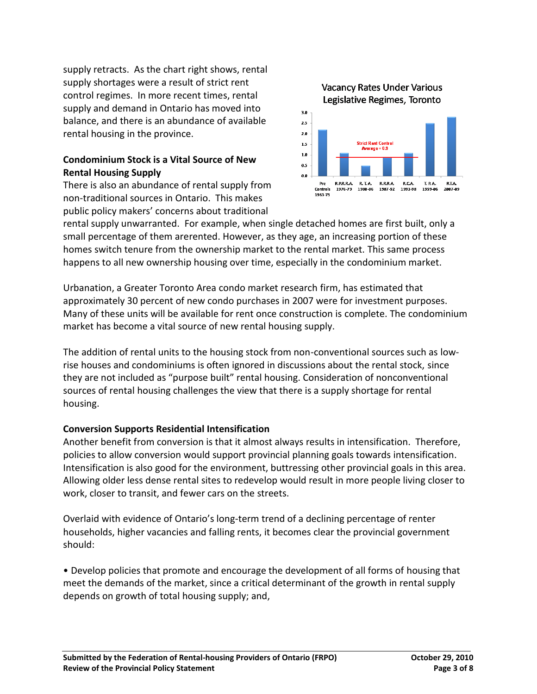supply retracts. As the chart right shows, rental supply shortages were a result of strict rent control regimes. In more recent times, rental supply and demand in Ontario has moved into balance, and there is an abundance of available rental housing in the province.

#### **Condominium Stock is a Vital Source of New Rental Housing Supply**

There is also an abundance of rental supply from non-traditional sources in Ontario. This makes public policy makers' concerns about traditional



rental supply unwarranted. For example, when single detached homes are first built, only a small percentage of them arerented. However, as they age, an increasing portion of these homes switch tenure from the ownership market to the rental market. This same process happens to all new ownership housing over time, especially in the condominium market.

Urbanation, a Greater Toronto Area condo market research firm, has estimated that approximately 30 percent of new condo purchases in 2007 were for investment purposes. Many of these units will be available for rent once construction is complete. The condominium market has become a vital source of new rental housing supply.

The addition of rental units to the housing stock from non-conventional sources such as lowrise houses and condominiums is often ignored in discussions about the rental stock, since they are not included as "purpose built" rental housing. Consideration of nonconventional sources of rental housing challenges the view that there is a supply shortage for rental housing.

#### **Conversion Supports Residential Intensification**

Another benefit from conversion is that it almost always results in intensification. Therefore, policies to allow conversion would support provincial planning goals towards intensification. Intensification is also good for the environment, buttressing other provincial goals in this area. Allowing older less dense rental sites to redevelop would result in more people living closer to work, closer to transit, and fewer cars on the streets.

Overlaid with evidence of Ontario's long-term trend of a declining percentage of renter households, higher vacancies and falling rents, it becomes clear the provincial government should:

• Develop policies that promote and encourage the development of all forms of housing that meet the demands of the market, since a critical determinant of the growth in rental supply depends on growth of total housing supply; and,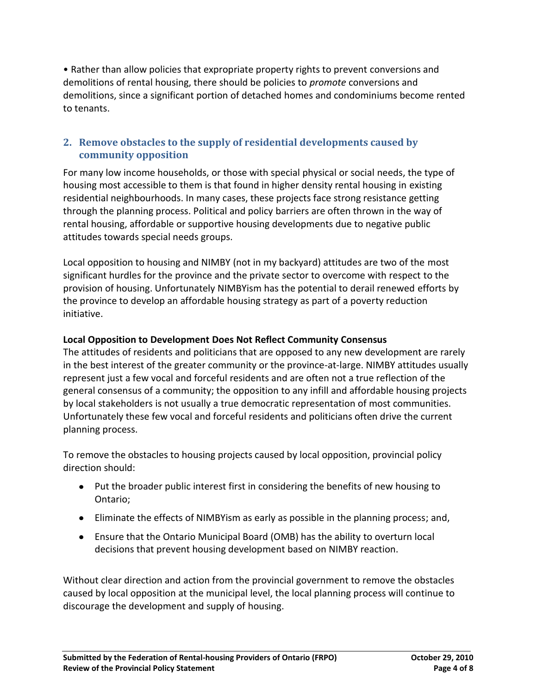• Rather than allow policies that expropriate property rights to prevent conversions and demolitions of rental housing, there should be policies to *promote* conversions and demolitions, since a significant portion of detached homes and condominiums become rented to tenants.

#### **2. Remove obstacles to the supply of residential developments caused by community opposition**

For many low income households, or those with special physical or social needs, the type of housing most accessible to them is that found in higher density rental housing in existing residential neighbourhoods. In many cases, these projects face strong resistance getting through the planning process. Political and policy barriers are often thrown in the way of rental housing, affordable or supportive housing developments due to negative public attitudes towards special needs groups.

Local opposition to housing and NIMBY (not in my backyard) attitudes are two of the most significant hurdles for the province and the private sector to overcome with respect to the provision of housing. Unfortunately NIMBYism has the potential to derail renewed efforts by the province to develop an affordable housing strategy as part of a poverty reduction initiative.

#### **Local Opposition to Development Does Not Reflect Community Consensus**

The attitudes of residents and politicians that are opposed to any new development are rarely in the best interest of the greater community or the province-at-large. NIMBY attitudes usually represent just a few vocal and forceful residents and are often not a true reflection of the general consensus of a community; the opposition to any infill and affordable housing projects by local stakeholders is not usually a true democratic representation of most communities. Unfortunately these few vocal and forceful residents and politicians often drive the current planning process.

To remove the obstacles to housing projects caused by local opposition, provincial policy direction should:

- Put the broader public interest first in considering the benefits of new housing to Ontario;
- Eliminate the effects of NIMBYism as early as possible in the planning process; and,
- Ensure that the Ontario Municipal Board (OMB) has the ability to overturn local decisions that prevent housing development based on NIMBY reaction.

Without clear direction and action from the provincial government to remove the obstacles caused by local opposition at the municipal level, the local planning process will continue to discourage the development and supply of housing.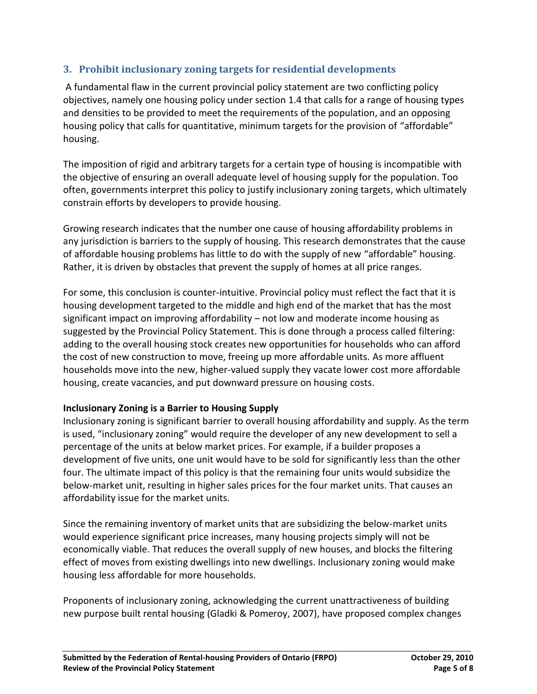#### **3. Prohibit inclusionary zoning targets for residential developments**

A fundamental flaw in the current provincial policy statement are two conflicting policy objectives, namely one housing policy under section 1.4 that calls for a range of housing types and densities to be provided to meet the requirements of the population, and an opposing housing policy that calls for quantitative, minimum targets for the provision of "affordable" housing.

The imposition of rigid and arbitrary targets for a certain type of housing is incompatible with the objective of ensuring an overall adequate level of housing supply for the population. Too often, governments interpret this policy to justify inclusionary zoning targets, which ultimately constrain efforts by developers to provide housing.

Growing research indicates that the number one cause of housing affordability problems in any jurisdiction is barriers to the supply of housing. This research demonstrates that the cause of affordable housing problems has little to do with the supply of new "affordable" housing. Rather, it is driven by obstacles that prevent the supply of homes at all price ranges.

For some, this conclusion is counter-intuitive. Provincial policy must reflect the fact that it is housing development targeted to the middle and high end of the market that has the most significant impact on improving affordability – not low and moderate income housing as suggested by the Provincial Policy Statement. This is done through a process called filtering: adding to the overall housing stock creates new opportunities for households who can afford the cost of new construction to move, freeing up more affordable units. As more affluent households move into the new, higher-valued supply they vacate lower cost more affordable housing, create vacancies, and put downward pressure on housing costs.

#### **Inclusionary Zoning is a Barrier to Housing Supply**

Inclusionary zoning is significant barrier to overall housing affordability and supply. As the term is used, "inclusionary zoning" would require the developer of any new development to sell a percentage of the units at below market prices. For example, if a builder proposes a development of five units, one unit would have to be sold for significantly less than the other four. The ultimate impact of this policy is that the remaining four units would subsidize the below-market unit, resulting in higher sales prices for the four market units. That causes an affordability issue for the market units.

Since the remaining inventory of market units that are subsidizing the below-market units would experience significant price increases, many housing projects simply will not be economically viable. That reduces the overall supply of new houses, and blocks the filtering effect of moves from existing dwellings into new dwellings. Inclusionary zoning would make housing less affordable for more households.

Proponents of inclusionary zoning, acknowledging the current unattractiveness of building new purpose built rental housing (Gladki & Pomeroy, 2007), have proposed complex changes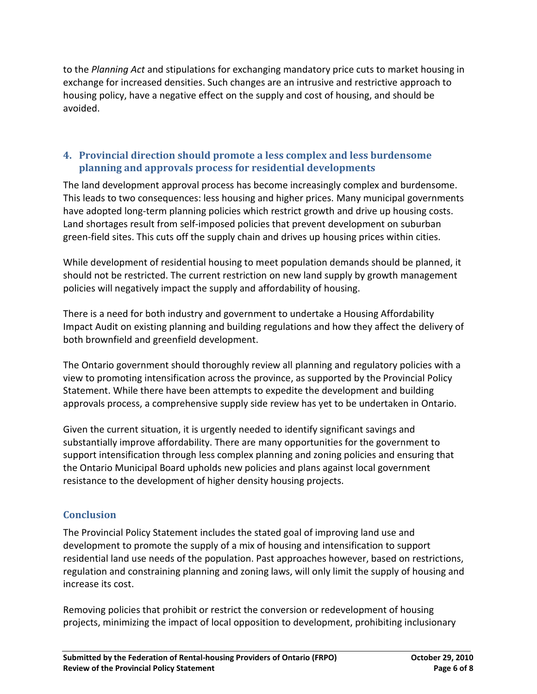to the *Planning Act* and stipulations for exchanging mandatory price cuts to market housing in exchange for increased densities. Such changes are an intrusive and restrictive approach to housing policy, have a negative effect on the supply and cost of housing, and should be avoided.

#### **4. Provincial direction should promote a less complex and less burdensome planning and approvals process for residential developments**

The land development approval process has become increasingly complex and burdensome. This leads to two consequences: less housing and higher prices. Many municipal governments have adopted long-term planning policies which restrict growth and drive up housing costs. Land shortages result from self-imposed policies that prevent development on suburban green-field sites. This cuts off the supply chain and drives up housing prices within cities.

While development of residential housing to meet population demands should be planned, it should not be restricted. The current restriction on new land supply by growth management policies will negatively impact the supply and affordability of housing.

There is a need for both industry and government to undertake a Housing Affordability Impact Audit on existing planning and building regulations and how they affect the delivery of both brownfield and greenfield development.

The Ontario government should thoroughly review all planning and regulatory policies with a view to promoting intensification across the province, as supported by the Provincial Policy Statement. While there have been attempts to expedite the development and building approvals process, a comprehensive supply side review has yet to be undertaken in Ontario.

Given the current situation, it is urgently needed to identify significant savings and substantially improve affordability. There are many opportunities for the government to support intensification through less complex planning and zoning policies and ensuring that the Ontario Municipal Board upholds new policies and plans against local government resistance to the development of higher density housing projects.

#### **Conclusion**

The Provincial Policy Statement includes the stated goal of improving land use and development to promote the supply of a mix of housing and intensification to support residential land use needs of the population. Past approaches however, based on restrictions, regulation and constraining planning and zoning laws, will only limit the supply of housing and increase its cost.

Removing policies that prohibit or restrict the conversion or redevelopment of housing projects, minimizing the impact of local opposition to development, prohibiting inclusionary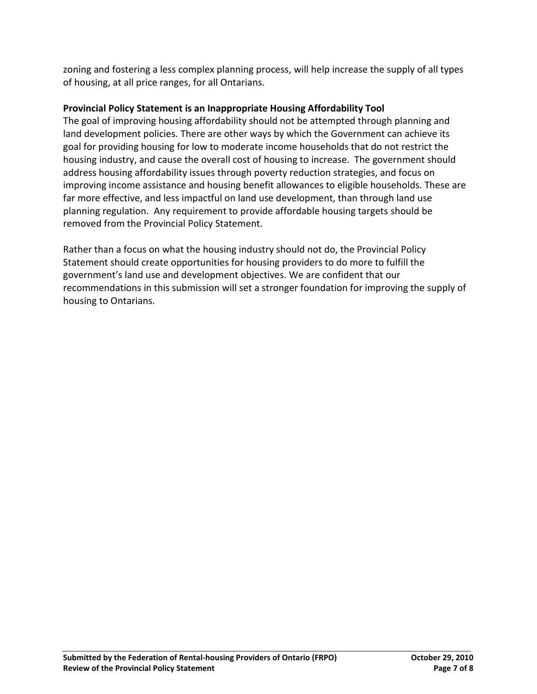zoning and fostering a less complex planning process, will help increase the supply of all types of housing, at all price ranges, for all Ontarians.

#### **Provincial Policy Statement is an Inappropriate Housing Affordability Tool**

The goal of improving housing affordability should not be attempted through planning and land development policies. There are other ways by which the Government can achieve its goal for providing housing for low to moderate income households that do not restrict the housing industry, and cause the overall cost of housing to increase. The government should address housing affordability issues through poverty reduction strategies, and focus on improving income assistance and housing benefit allowances to eligible households. These are far more effective, and less impactful on land use development, than through land use planning regulation. Any requirement to provide affordable housing targets should be removed from the Provincial Policy Statement.

Rather than a focus on what the housing industry should not do, the Provincial Policy Statement should create opportunities for housing providers to do more to fulfill the government's land use and development objectives. We are confident that our recommendations in this submission will set a stronger foundation for improving the supply of housing to Ontarians.